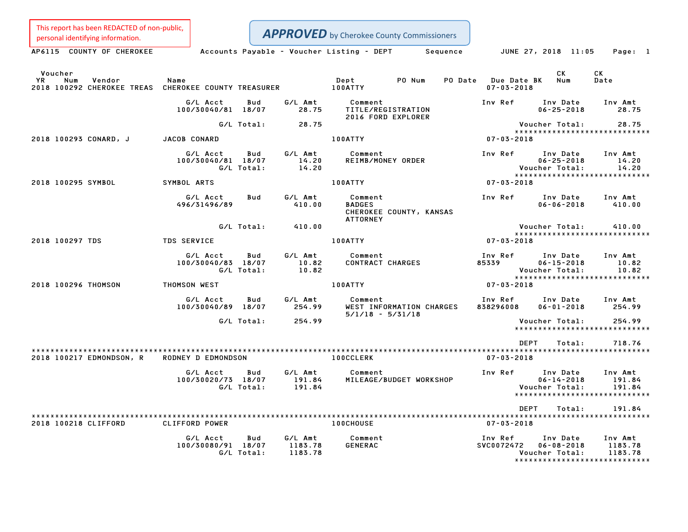This report has been REDACTED of non-public,<br>personal identifying information.

| personal identifying information.                                                             |                                              |                                      | <b>APPROVED</b> by Cherokee County Commissioners                       |                                           |                                                |                                                              |
|-----------------------------------------------------------------------------------------------|----------------------------------------------|--------------------------------------|------------------------------------------------------------------------|-------------------------------------------|------------------------------------------------|--------------------------------------------------------------|
| AP6115 COUNTY OF CHEROKEE                                                                     |                                              |                                      | Accounts Payable – Voucher Listing – DEPT<br>Sequence                  | JUNE 27, 2018 11:05                       |                                                | Page: 1                                                      |
| Voucher<br><b>YR</b><br>Num<br>Vendor<br>2018 100292 CHEROKEE TREAS CHEROKEE COUNTY TREASURER | Name                                         |                                      | Dept<br>PO Num<br><b>100ATTY</b>                                       | PO Date Due Date BK<br>$07 - 03 - 2018$   | CK.<br>Num                                     | CK<br>Date                                                   |
|                                                                                               | G/L Acct<br>100/30040/81 18/07               | Bud<br>G/L Amt<br>28.75              | Comment<br>TITLE/REGISTRATION<br>2016 FORD EXPLORER                    | Inv Ref                                   | Inv Date<br>$06 - 25 - 2018$                   | Inv Amt<br>28.75                                             |
|                                                                                               | G/L Total:                                   | 28.75                                |                                                                        |                                           | Voucher Total:                                 | 28.75                                                        |
| 2018 100293 CONARD, J                                                                         | JACOB CONARD                                 |                                      | 100ATTY                                                                | 07-03-2018                                |                                                | *****************************                                |
|                                                                                               | G/L Acct<br>100/30040/81 18/07<br>G/L Total: | G/L Amt<br>Bud<br>14.20<br>14.20     | Comment<br>REIMB/MONEY ORDER                                           | Inv Ref                                   | Inv Date<br>$06 - 25 - 2018$<br>Voucher Total: | Inv Amt<br>14.20<br>14.20                                    |
| 2018 100295 SYMBOL                                                                            | SYMBOL ARTS                                  |                                      | 100ATTY                                                                | 07-03-2018                                |                                                | *****************************                                |
|                                                                                               | G/L Acct<br>496/31496/89                     | G/L Amt<br>Bud<br>410.00             | Comment<br><b>BADGES</b><br>CHEROKEE COUNTY, KANSAS<br><b>ATTORNEY</b> | Inv Ref                                   | Inv Date<br>$06 - 06 - 2018$                   | Inv Amt<br>410.00                                            |
|                                                                                               | G/L Total:                                   | 410.00                               |                                                                        |                                           | Voucher Total:                                 | 410.00                                                       |
| 2018 100297 TDS                                                                               | <b>TDS SERVICE</b>                           |                                      | 100ATTY                                                                | 07-03-2018                                |                                                | *****************************                                |
|                                                                                               | G/L Acct<br>100/30040/83 18/07<br>G/L Total: | Bud<br>G/L Amt<br>10.82<br>10.82     | Comment<br><b>CONTRACT CHARGES</b>                                     | Inv Ref<br>85339                          | Inv Date<br>$06 - 15 - 2018$<br>Voucher Total: | Inv Amt<br>10.82<br>10.82                                    |
| 2018 100296 THOMSON                                                                           | THOMSON WEST                                 |                                      | 100ATTY                                                                | 07-03-2018                                |                                                |                                                              |
|                                                                                               | G/L Acct<br>100/30040/89 18/07               | Bud<br>G/L Amt<br>254.99             | Comment<br>WEST INFORMATION CHARGES<br>$5/1/18 - 5/31/18$              | Inv Ref<br>838296008                      | Inv Date<br>$06 - 01 - 2018$                   | Inv Amt<br>254.99                                            |
|                                                                                               | G/L Total:                                   | 254.99                               |                                                                        |                                           | Voucher Total:                                 | 254.99<br>*****************************                      |
|                                                                                               |                                              |                                      |                                                                        | DEPT                                      | Total:                                         | 718.76                                                       |
| 2018 100217 EDMONDSON, R                                                                      | RODNEY D EDMONDSON                           |                                      | <b>100CCLERK</b>                                                       | $07 - 03 - 2018$                          |                                                |                                                              |
|                                                                                               | G/L Acct<br>100/30020/73 18/07<br>G/L Total: | G/L Amt<br>Bud<br>191.84<br>191.84   | Comment<br>MILEAGE/BUDGET WORKSHOP                                     | Inv Ref                                   | Inv Date<br>$06 - 14 - 2018$<br>Voucher Total: | Inv Amt<br>191.84<br>191.84<br>***************************** |
|                                                                                               |                                              |                                      |                                                                        | DEPT                                      | Total:                                         | 191.84                                                       |
| 2018 100218 CLIFFORD                                                                          | CLIFFORD POWER                               |                                      | 100CHOUSE                                                              | $07 - 03 - 2018$                          |                                                |                                                              |
|                                                                                               | G/L Acct<br>100/30080/91 18/07<br>G/L Total: | G/L Amt<br>Bud<br>1183.78<br>1183.78 | Comment<br><b>GENERAC</b>                                              | Inv Ref Inv Date<br>SVC0072472 06-08-2018 | Voucher Total:                                 | Inv Amt<br>1183.78<br>1183.78                                |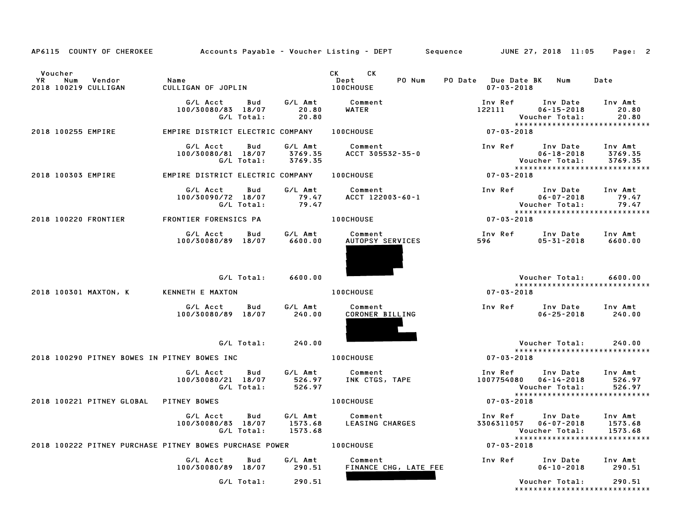| AP6115 COUNTY OF CHEROKEE                               |                                                     |                               | Accounts Payable – Voucher Listing – DEPT       Sequence | JUNE 27, 2018 11:05<br>Page: 2                                                                                                     |
|---------------------------------------------------------|-----------------------------------------------------|-------------------------------|----------------------------------------------------------|------------------------------------------------------------------------------------------------------------------------------------|
| Voucher<br>Num<br>Vendor<br>YR<br>2018 100219 CULLIGAN  | Name<br>CULLIGAN OF JOPLIN                          |                               | <b>CK</b><br><b>CK</b><br>PO Num<br>Dept<br>100CHOUSE    | PO Date Due Date BK<br>Num<br>Date<br>$07 - 03 - 2018$                                                                             |
|                                                         | G/L Acct<br>Bud<br>100/30080/83 18/07<br>G/L Total: | G/L Amt<br>20.80<br>20.80     | Comment<br>WATER                                         | Inv Ref<br>Inv Date<br>Inv Amt<br>$06 - 15 - 2018$<br>122111<br>20.80<br>Voucher Total:<br>20.80<br>****************************** |
| 2018 100255 EMPIRE                                      | EMPIRE DISTRICT ELECTRIC COMPANY                    |                               | <b>100CHOUSE</b>                                         | $07 - 03 - 2018$                                                                                                                   |
|                                                         | G/L Acct<br>Bud<br>100/30080/81 18/07<br>G/L Total: | G/L Amt<br>3769.35<br>3769.35 | Comment<br>ACCT 305532-35-0                              | Inv Ref<br>Inv Date<br>Inv Amt<br>$06 - 18 - 2018$<br>3769.35<br>Voucher Total:<br>3769.35<br>*****************************        |
| 2018 100303 EMPIRE                                      | EMPIRE DISTRICT ELECTRIC COMPANY                    |                               | <b>100CHOUSE</b>                                         | $07 - 03 - 2018$                                                                                                                   |
|                                                         | G/L Acct<br>Bud<br>100/30090/72 18/07<br>G/L Total: | G/L Amt<br>79.47<br>79.47     | Comment<br>ACCT 122003-60-1                              | Inv Ref<br>Inv Date<br>Inv Amt<br>$06 - 07 - 2018$<br>79.47<br>Voucher Total:<br>79.47<br>*****************************            |
| 2018 100220 FRONTIER                                    | FRONTIER FORENSICS PA                               |                               | 100CHOUSE                                                | $07 - 03 - 2018$                                                                                                                   |
|                                                         | G/L Acct<br>Bud<br>100/30080/89 18/07               | G/L Amt<br>6600.00            | Comment<br>AUTOPSY SERVICES                              | Inv Ref<br>Inv Date<br>Inv Amt<br>596<br>$05 - 31 - 2018$<br>6600.00                                                               |
|                                                         |                                                     |                               |                                                          |                                                                                                                                    |
|                                                         |                                                     |                               |                                                          |                                                                                                                                    |
| 2018 100301 MAXTON, K                                   | G/L Total:<br>KENNETH E MAXTON                      | 6600.00                       | 100CHOUSE                                                | Voucher Total:<br>6600.00<br>*****************************<br>$07 - 03 - 2018$                                                     |
|                                                         | G/L Acct<br>Bud<br>100/30080/89 18/07               | G/L Amt<br>240.00             | Comment<br>CORONER BILLING                               | Inv Ref<br>Inv Date<br>Inv Amt<br>$06 - 25 - 2018$<br>240.00                                                                       |
|                                                         | G/L Total:                                          | 240.00                        |                                                          | 240.00<br>Voucher Total:                                                                                                           |
| 2018 100290 PITNEY BOWES IN PITNEY BOWES INC            |                                                     |                               | <b>100CHOUSE</b>                                         | *****************************<br>$07 - 03 - 2018$                                                                                  |
|                                                         | G/L Acct<br>Bud<br>100/30080/21 18/07<br>G/L Total: | G/L Amt<br>526.97<br>526.97   | Comment<br>INK CTGS, TAPE                                | Inv Ref<br>Inv Date<br>Inv Amt<br>1007754080  06-14-2018<br>526.97<br>Voucher Total:<br>526.97                                     |
| 2018 100221 PITNEY GLOBAL                               | <b>PITNEY BOWES</b>                                 |                               | <b>100CHOUSE</b>                                         | *****************************<br>$07 - 03 - 2018$                                                                                  |
|                                                         | G/L Acct<br>Bud<br>100/30080/83 18/07<br>G/L Total: | G/L Amt<br>1573.68<br>1573.68 | Comment<br>LEASING CHARGES                               | Inv Ref<br>Inv Date<br>Inv Amt<br>3306311057 06-07-2018<br>1573.68<br>Voucher Total:<br>1573.68                                    |
| 2018 100222 PITNEY PURCHASE PITNEY BOWES PURCHASE POWER |                                                     |                               | <b>100CHOUSE</b>                                         | ******************************<br>07-03-2018                                                                                       |
|                                                         | G/L Acct<br>Bud<br>100/30080/89 18/07               | G/L Amt<br>290.51             | Comment<br>FINANCE CHG, LATE FEE                         | Inv Ref<br>Inv Date<br>Inv Amt<br>$06 - 10 - 2018$<br>290.51                                                                       |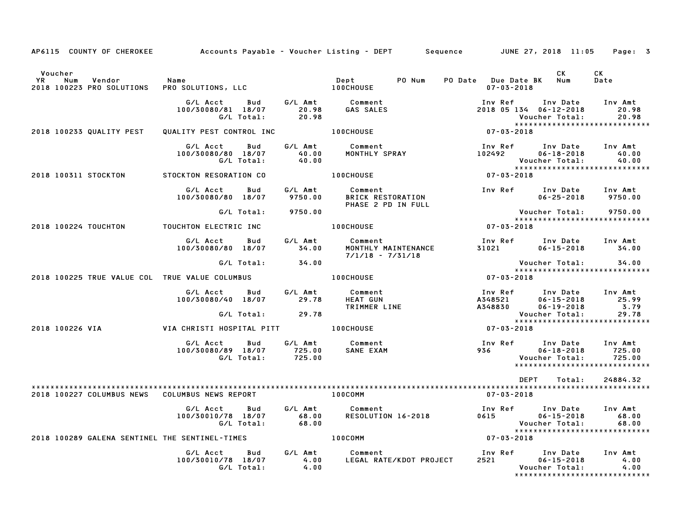| AP6115 COUNTY OF CHEROKEE                                          | Accounts Payable – Voucher Listing – DEPT      Sequence      JUNE 27, 2018 11:05 |                        |                                                              |                                                               | Page: 3                                                                                                                         |
|--------------------------------------------------------------------|----------------------------------------------------------------------------------|------------------------|--------------------------------------------------------------|---------------------------------------------------------------|---------------------------------------------------------------------------------------------------------------------------------|
| Voucher<br><b>YR</b><br>Num<br>Vendor<br>2018 100223 PRO SOLUTIONS | Name<br>PRO SOLUTIONS, LLC                                                       |                        | PO Num<br>Dept<br>Dept<br>100CHOUSE                          | PO Date Due Date BK Num<br>$07 - 03 - 2018$                   | CK<br>CK<br>Date                                                                                                                |
|                                                                    | G/L Acct<br>100/30080/81 18/07<br>G/L Total:                                     | 20.98<br>20.98         | Bud G/L Amt Comment<br>GAS SALES                             | 2018 05 134 06-12-2018                                        | Inv Ref Inv Date Inv Amt<br>20.98<br>Voucher Total:<br>20.98<br>*****************************                                   |
| 2018 100233 QUALITY PEST                                           | QUALITY PEST CONTROL INC <b>100CHOUSE</b>                                        |                        |                                                              | $07 - 03 - 2018$                                              |                                                                                                                                 |
|                                                                    | G/L Acct<br>Bud<br>100/30080/80 18/07<br>G/L Total:                              |                        | Comment<br>MONTHLY SPRAY                                     | Inv Ref       Inv Date<br>102492        06–18–2018            | Inv Amt<br>40.00<br>Voucher Total:<br>40.00                                                                                     |
| 2018 100311 STOCKTON                                               | STOCKTON RESORATION CO                                                           |                        | 100CHOUSE                                                    | $07 - 03 - 2018$                                              |                                                                                                                                 |
|                                                                    | G/L Acct Bud<br>100/30080/80 18/07                                               | G/L Amt                | Comment<br>9750.00 BRICK RESTORATION<br>PHASE 2 PD IN FULL   |                                                               | Inv Ref Inv Date Inv Amt<br>$06 - 25 - 2018$ 9750.00                                                                            |
|                                                                    | G/L Total: 9750.00                                                               |                        |                                                              | Voucher Total:                                                | 9750.00<br>******************************                                                                                       |
| 2018 100224 TOUCHTON                                               | TOUCHTON ELECTRIC INC                                                            |                        | <b>100CHOUSE</b>                                             | $07 - 03 - 2018$                                              |                                                                                                                                 |
|                                                                    | G/L Acct<br>Bud<br>100/30080/80 18/07                                            | 34.00                  | G/L Amt Comment<br>MONTHLY MAINTENANCE<br>$7/1/18 - 7/31/18$ |                                                               | Inv Ref Inv Date Inv Amt<br>31021 06-15-2018 34.00                                                                              |
|                                                                    | G/L Total: 34.00                                                                 |                        |                                                              |                                                               | Voucher Total: 34.00<br>****************************                                                                            |
| 2018 100225 TRUE VALUE COL TRUE VALUE COLUMBUS   100CHOUSE         |                                                                                  |                        |                                                              | $07 - 03 - 2018$                                              |                                                                                                                                 |
|                                                                    | G/L Acct Bud G/L Amt<br>100/30080/40 18/07 29.78<br>$G/L$ Total: 29.78           |                        | Comment<br><b>HEAT GUN<br/>TRIMMER LINE</b>                  |                                                               | 1nv Ref        Inv Date     Inv Amt<br>4348521         06–15–2018           25.99<br>4348830         06–19–2018            3.79 |
| 2018 100226 VIA                                                    | VIA CHRISTI HOSPITAL PITT <b>100CHOUSE</b>                                       |                        |                                                              | $07 - 03 - 2018$                                              | Voucher Total: 29.78<br>****************************                                                                            |
|                                                                    |                                                                                  |                        |                                                              |                                                               |                                                                                                                                 |
|                                                                    | G/L Acct<br><b>Bud</b><br>100/30080/89 18/07 725.00 SANE EXAM<br>G/L Total:      | 725.00                 | G/L Amt Comment                                              | 936 700                                                       | 725.00<br>Voucher Total:<br>725.00<br>*****************************                                                             |
|                                                                    |                                                                                  |                        |                                                              | DEPT                                                          | Total:<br>24884.32                                                                                                              |
| 2018 100227 COLUMBUS NEWS                                          | COLUMBUS NEWS REPORT                                                             | <b>Example 100COMM</b> |                                                              | 07-03-2018                                                    |                                                                                                                                 |
|                                                                    | G/L Acct<br><b>Bud</b><br>100/30010/78 18/07<br>G/L Total:                       | $68.00$<br>$68.00$     | G/L Amt Comment<br>Comment<br>RESOLUTION 16-2018             | Inv Ref      Inv Date<br>0615<br>06-15-2018<br>Voucher Total: | Inv Amt<br>68.00                                                                                                                |
| 2018 100289 GALENA SENTINEL THE SENTINEL-TIMES                     |                                                                                  |                        | 100COMM                                                      | $07 - 03 - 2018$                                              |                                                                                                                                 |
|                                                                    | G/L Acct<br>Bud<br>100/30010/78 18/07<br>G/L Total:                              | 4.00<br>4.00           | G/L Amt Comment<br>LEGAL RATE/KDOT PROJECT                   | Inv Ref Inv Date<br>2521 06-15-2018                           | Inv Amt<br>4.00<br>Voucher Total:<br>4.00<br>*****************************                                                      |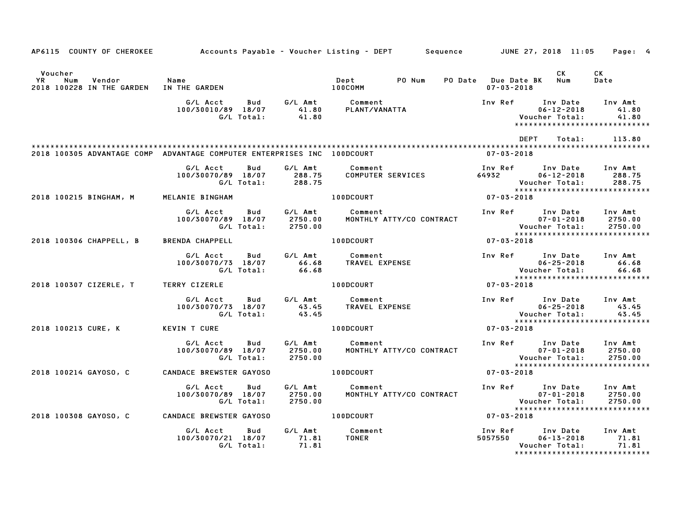| AP6115 COUNTY OF CHEROKEE                                               |                                                     |                               | Accounts Payable – Voucher Listing – DEPT         Sequence         JUNE 27, 2018  11:05 |                                         |                                                | Page: 4                                                     |
|-------------------------------------------------------------------------|-----------------------------------------------------|-------------------------------|-----------------------------------------------------------------------------------------|-----------------------------------------|------------------------------------------------|-------------------------------------------------------------|
| Voucher<br>YR<br>Vendor<br>Num<br>2018 100228 IN THE GARDEN             | Name<br>IN THE GARDEN                               |                               | PO Num<br>Dept<br>100COMM                                                               | PO Date Due Date BK<br>$07 - 03 - 2018$ | CK<br>Num                                      | <b>CK</b><br>Date                                           |
|                                                                         | G/L Acct<br>Bud<br>100/30010/89 18/07<br>G/L Total: | G⁄L Amt<br>41.80<br>41.80     | Comment<br>PLANT/VANATTA                                                                | Inv Ref                                 | Inv Date<br>$06 - 12 - 2018$<br>Voucher Total: | Inv Amt<br>41.80<br>41.80<br>****************************** |
|                                                                         |                                                     |                               |                                                                                         | <b>DEPT</b>                             | Total:                                         | 113.80                                                      |
| 2018 100305 ADVANTAGE COMP ADVANTAGE COMPUTER ENTERPRISES INC 100DCOURT |                                                     |                               |                                                                                         | $07 - 03 - 2018$                        |                                                |                                                             |
|                                                                         | G/L Acct<br>Bud<br>100/30070/89 18/07<br>G/L Total: | G/L Amt<br>288.75<br>288.75   | Comment<br>COMPUTER SERVICES                                                            | Inv Ref<br>64932                        | Inv Date<br>$06 - 12 - 2018$<br>Voucher Total: | Inv Amt<br>288.75<br>288.75                                 |
| 2018 100215 BINGHAM, M                                                  | MELANIE BINGHAM                                     |                               | <b>100DCOURT</b>                                                                        | 07-03-2018                              |                                                | *****************************                               |
|                                                                         | G/L Acct<br>Bud<br>100/30070/89 18/07<br>G/L Total: | G/L Amt<br>2750.00<br>2750.00 | Comment<br>MONTHLY ATTY/CO CONTRACT                                                     | Inv Ref Inv Date                        | $07 - 01 - 2018$<br>Voucher Total:             | Inv Amt<br>2750.00<br>2750.00                               |
| 2018 100306 CHAPPELL, B                                                 | <b>BRENDA CHAPPELL</b>                              |                               | 100DCOURT                                                                               | $07 - 03 - 2018$                        |                                                | *****************************                               |
|                                                                         | G/L Acct<br>Bud<br>100/30070/73 18/07<br>G/L Total: | G/L Amt<br>66.68<br>66.68     | Comment<br>TRAVEL EXPENSE                                                               | Inv Ref Inv Date                        | $06 - 25 - 2018$<br>Voucher Total:             | Inv Amt<br>66.68<br>66.68                                   |
| 2018 100307 CIZERLE, T                                                  | <b>TERRY CIZERLE</b>                                |                               | <b>100DCOURT</b>                                                                        | 07-03-2018                              |                                                | *****************************                               |
|                                                                         | G/L Acct<br>Bud<br>100/30070/73 18/07<br>G/L Total: | G/L Amt<br>43.45<br>43.45     | Comment<br>TRAVEL EXPENSE                                                               | Inv Ref Inv Date                        | $06 - 25 - 2018$<br>Voucher Total:             | Inv Amt<br>43.45<br>43.45                                   |
| 2018 100213 CURE, K                                                     | KEVIN T CURE                                        |                               | 100DCOURT                                                                               | $07 - 03 - 2018$                        |                                                | ******************************                              |
|                                                                         | G/L Acct<br>Bud<br>100/30070/89 18/07<br>G/L Total: | G/L Amt<br>2750.00<br>2750.00 | Comment<br>MONTHLY ATTY/CO CONTRACT                                                     | Inv Ref Inv Date                        | $07 - 01 - 2018$<br>Voucher Total:             | Inv Amt<br>2750.00<br>2750.00                               |
| 2018 100214 GAYOSO, C                                                   | CANDACE BREWSTER GAYOSO                             |                               | <b>100DCOURT</b>                                                                        | 07-03-2018                              |                                                | *****************************                               |
|                                                                         | G/L Acct<br>Bud<br>100/30070/89 18/07<br>G/L Total: | G/L Amt<br>2750.00<br>2750.00 | Comment<br>MONTHLY ATTY/CO CONTRACT                                                     | Inv Ref Inv Date                        | $07 - 01 - 2018$<br>Voucher Total:             | Inv Amt<br>2750.00<br>2750.00                               |
| 2018 100308 GAYOSO, C                                                   | <b>CANDACE BREWSTER GAYOSO</b>                      |                               | 100DCOURT                                                                               | 07-03-2018                              |                                                |                                                             |
|                                                                         | G/L Acct<br>Bud<br>100/30070/21 18/07<br>G/L Total: | G/L Amt<br>71.81<br>71.81     | Comment<br><b>TONER</b>                                                                 | Inv Ref Inv Date<br>5057550             | $06 - 13 - 2018$<br>Voucher Total:             | Inv Amt<br>71.81<br>71.81                                   |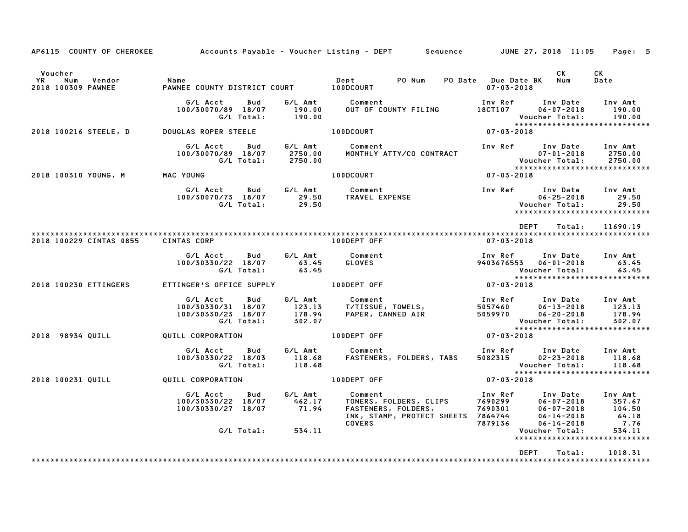| AP6115 COUNTY OF CHEROKEE                            |                                                                           |                                       | Accounts Payable – Voucher Listing – DEPT         Sequence         JUNE 27, 2018  11:05     Page:   5                       |                                                             |                                                    |                                                                             |
|------------------------------------------------------|---------------------------------------------------------------------------|---------------------------------------|-----------------------------------------------------------------------------------------------------------------------------|-------------------------------------------------------------|----------------------------------------------------|-----------------------------------------------------------------------------|
| Voucher<br>YR<br>Num<br>Vendor<br>2018 100309 PAWNEE | Name<br>PAWNEE COUNTY DISTRICT COURT 100DCOURT                            |                                       | PO Num<br>Dept                                                                                                              | PO Date Due Date BK Num<br>$07 - 03 - 2018$                 | CK                                                 | CK<br>Date                                                                  |
|                                                      | G/L Acct<br>Bud<br>100/30070/89 18/07<br>G/L Total:                       | 190.00<br>190.00                      | G/L Amt Comment<br>OUT OF COUNTY FILING                                                                                     | Inv Ref      Inv Date<br>18CT107                            | $06 - 07 - 2018$<br>Voucher Total:                 | Inv Amt<br>190.00<br>190.00                                                 |
| 2018 100216 STEELE, D                                | DOUGLAS ROPER STEELE                                                      |                                       | <b>100DCOURT</b>                                                                                                            | $07 - 03 - 2018$                                            |                                                    |                                                                             |
|                                                      | G/L Acct<br><b>Bud</b><br>100/30070/89 18/07<br>G/L Total:                | 2750.00<br>2750.00                    | G/L Amt Comment<br>MONTHLY ATTY/CO CONTRACT                                                                                 | Inv Ref      Inv Date                                       | 07-01-2018                                         | Inv Amt<br>2750.00<br>Voucher Total: 2750.00<br>*************************** |
| 2018 100310 YOUNG, M MAC YOUNG                       |                                                                           |                                       | 100DCOURT                                                                                                                   | 07-03-2018                                                  |                                                    |                                                                             |
|                                                      | G/L Acct<br><b>Bud</b><br>100/30070/73 18/07<br>G/L Total:                | G/L Amt<br>29.50<br>29.50             | Comment<br><b>TRAVEL EXPENSE</b>                                                                                            | Inv Ref                                                     | Inv Date<br>$06 - 25 - 2018$<br>Voucher Total:     | Inv Amt<br>29.50<br>29.50<br>*****************************                  |
|                                                      |                                                                           |                                       |                                                                                                                             | DEPT                                                        | Total:                                             | 11690.19                                                                    |
| 2018 100229 CINTAS 0855                              | <b>CINTAS CORP</b>                                                        |                                       | 100DEPT OFF                                                                                                                 | 07-03-2018                                                  |                                                    |                                                                             |
|                                                      | Bud<br>G/L Acct<br>100/30330/22 18/07<br>G/L Total:                       | G/L Amt<br>63.45<br>63.45             | Comment<br>GLOVES                                                                                                           | Inv Ref      Inv Date     Inv Amt<br>9403676553  06-01-2018 | Voucher Total:                                     | 63.45<br>63.45                                                              |
| 2018 100230 ETTINGERS                                | ETTINGER'S OFFICE SUPPLY 100DEPT OFF                                      |                                       |                                                                                                                             | $07 - 03 - 2018$                                            |                                                    | *****************************                                               |
|                                                      | G/L Acct<br>Bud<br>100/30330/31 18/07<br>100/30330/23 18/07<br>G/L Total: | G/L Amt<br>123.13<br>178.94<br>302.07 | Comment<br>T/TISSUE, TOWELS,<br>P^PEP. CANNED AIR                                                                           | Inv Ref Inv Date Inv Amt<br>5057460<br>5059970              | 06-13-2018<br>$06 - 20 - 2018$<br>Voucher Total:   | 123.13<br>178.94<br>302.07                                                  |
| 2018 98934 QUILL                                     | QUILL CORPORATION                                                         |                                       | 100DEPT OFF                                                                                                                 | $07 - 03 - 2018$                                            |                                                    | *****************************                                               |
|                                                      | G/L Acct<br>Bud<br>100/30330/22 18/03<br>G/L Total:                       | G/L Amt<br>118.68<br>118.68           | Comment<br>FASTENERS, FOLDERS, TABS                                                                                         | Inv Ref Inv Date<br>5082315                                 | $02 - 23 - 2018$<br>Voucher Total:                 | Inv Amt<br>118.68<br>118.68                                                 |
| 2018 100231 QUILL                                    | QUILL CORPORATION                                                         |                                       | <b>100DEPT OFF</b>                                                                                                          | 07-03-2018                                                  |                                                    |                                                                             |
|                                                      | G/L Acct<br>Bud<br>100/30330/22 18/07<br>100/30330/27 18/07               | G/L Amt<br>462.17<br>71.94            | Comment Inv Ref<br>TONERS, FOLDERS, CLIPS 7690299<br>FASTENERS, FOLDERS, 7690301<br>התרבת המשתתת המשתתת המשתתת המודר המשתתת | Inv Ref      Inv Date     Inv Amt                           | 06-07-2018<br>$06 - 07 - 2018$<br>$06 - 14 - 2018$ | 357.67<br>104.50<br>64.18                                                   |
|                                                      | G/L Total: 534.11                                                         |                                       | COVERS AND RESIDENCE ON A STRUCK COVERS                                                                                     | 7879136                                                     | $06 - 14 - 2018$<br>Voucher Total:                 | 7.76<br>534.11                                                              |
|                                                      |                                                                           |                                       |                                                                                                                             |                                                             |                                                    | *****************************                                               |
|                                                      |                                                                           |                                       | **************************************                                                                                      | <b>DEPT</b>                                                 | Total:                                             | 1018.31                                                                     |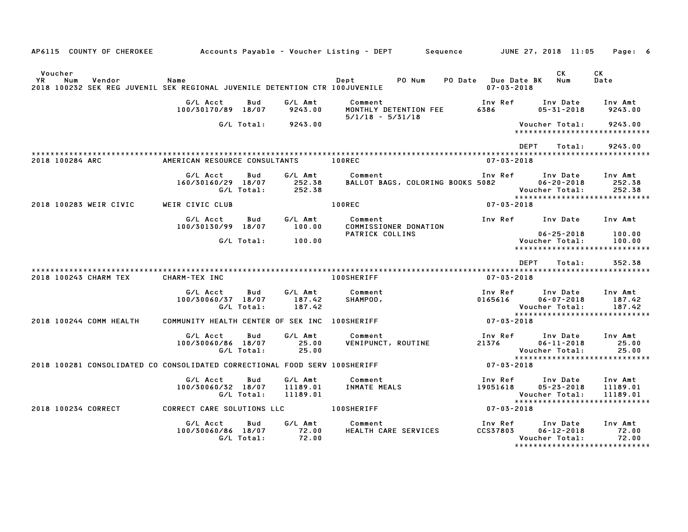| AP6115 COUNTY OF CHEROKEE                                                                                     | Accounts Payable – Voucher Listing – DEPT           |                                 | Sequence                                    |                                         | JUNE 27, 2018 11:05                                                              | Page: 6                         |
|---------------------------------------------------------------------------------------------------------------|-----------------------------------------------------|---------------------------------|---------------------------------------------|-----------------------------------------|----------------------------------------------------------------------------------|---------------------------------|
| Voucher<br>YR<br>Num<br>Vendor<br>2018 100232 SEK REG JUVENIL SEK REGIONAL JUVENILE DETENTION CTR 100JUVENILE | Name                                                |                                 | PO Num<br>Dept                              | PO Date Due Date BK<br>$07 - 03 - 2018$ | <b>CK</b><br>Num                                                                 | СK<br>Date                      |
|                                                                                                               | G/L Acct<br>Bud<br>100/30170/89 18/07               | G/L Amt<br>9243.00              | Comment<br>MONTHLY DETENTION FEE            | Inv Ref<br>6386                         | Inv Date<br>$05 - 31 - 2018$                                                     | Inv Amt<br>9243.00              |
|                                                                                                               | G/L Total:                                          | 9243.00                         | $5/1/18 - 5/31/18$                          |                                         | Voucher Total:<br>*****************************                                  | 9243.00                         |
|                                                                                                               |                                                     |                                 |                                             |                                         | <b>DEPT</b><br>Total:                                                            | 9243.00                         |
| 2018 100284 ARC                                                                                               | AMERICAN RESOURCE CONSULTANTS                       |                                 | 100REC                                      | $07 - 03 - 2018$                        |                                                                                  |                                 |
|                                                                                                               | G/L Acct<br>Bud<br>160/30160/29 18/07<br>G/L Total: | G/L Amt<br>252.38<br>252.38     | Comment<br>BALLOT BAGS, COLORING BOOKS 5082 | Inv Ref                                 | Inv Date<br>$06 - 20 - 2018$<br>Voucher Total:                                   | Inv Amt<br>252.38<br>252.38     |
| 2018 100283 WEIR CIVIC                                                                                        | WEIR CIVIC CLUB                                     |                                 | 100REC                                      | $07 - 03 - 2018$                        | *****************************                                                    |                                 |
|                                                                                                               | G/L Acct<br>Bud<br>100/30130/99 18/07               | G/L Amt<br>100.00               | Comment<br>COMMISSIONER DONATION            | Inv Ref                                 | Inv Date                                                                         | Inv Amt                         |
|                                                                                                               | G/L Total:                                          | 100.00                          | PATRICK COLLINS                             |                                         | $06 - 25 - 2018$<br>Voucher Total:<br>*****************************              | 100.00<br>100.00                |
|                                                                                                               |                                                     |                                 |                                             |                                         | <b>DEPT</b><br>Total:                                                            | 352.38                          |
| 2018 100243 CHARM TEX                                                                                         | CHARM-TEX INC                                       |                                 | <b>100SHERIFF</b>                           | $07 - 03 - 2018$                        |                                                                                  |                                 |
|                                                                                                               | G/L Acct<br>Bud<br>100/30060/37 18/07<br>G/L Total: | G/L Amt<br>187.42<br>187.42     | Comment<br>SHAMPOO,                         | Inv Ref<br>0165616                      | Inv Date<br>$06 - 07 - 2018$<br>Voucher Total:<br>*****************************  | Inv Amt<br>187.42<br>187.42     |
| 2018 100244 COMM HEALTH                                                                                       | COMMUNITY HEALTH CENTER OF SEK INC 100SHERIFF       |                                 |                                             | $07 - 03 - 2018$                        |                                                                                  |                                 |
|                                                                                                               | G/L Acct<br>Bud<br>100/30060/86 18/07<br>G/L Total: | G/L Amt<br>25.00<br>25.00       | Comment<br><b>VENIPUNCT, ROUTINE</b>        | Inv Ref<br>21376                        | Inv Date<br>$06 - 11 - 2018$<br>Voucher Total:<br>****************************** | Inv Amt<br>25.00<br>25.00       |
| 2018 100281 CONSOLIDATED CO CONSOLIDATED CORRECTIONAL FOOD SERV 100SHERIFF                                    |                                                     |                                 |                                             | 07-03-2018                              |                                                                                  |                                 |
|                                                                                                               | G/L Acct<br>Bud<br>100/30060/32 18/07<br>G/L Total: | G/L Amt<br>11189.01<br>11189.01 | Comment<br><b>INMATE MEALS</b>              | Inv Ref<br>19051618                     | Inv Date<br>$05 - 23 - 2018$<br>Voucher Total:<br>*****************************  | Inv Amt<br>11189.01<br>11189.01 |
| 2018 100234 CORRECT                                                                                           | CORRECT CARE SOLUTIONS LLC                          |                                 | <b>100SHERIFF</b>                           | $07 - 03 - 2018$                        |                                                                                  |                                 |
|                                                                                                               | G/L Acct<br>Bud<br>100/30060/86 18/07<br>G/L Total: | G/L Amt<br>72.00<br>72.00       | Comment<br>HEALTH CARE SERVICES             | Inv Ref<br><b>CCS37803</b>              | Inv Date<br>$06 - 12 - 2018$<br>Voucher Total:<br>*****************************  | Inv Amt<br>72.00<br>72.00       |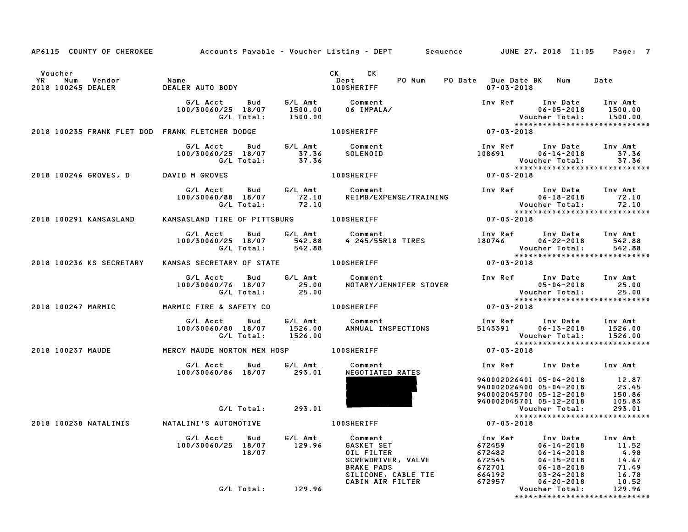| AP6115 COUNTY OF CHEROKEE Accounts Payable - Voucher Listing - DEPT Sequence JUNE 27, 2018 11:05                                                             |                                                                                       |                                                                                                                                                                                                                                                                               |                                                                                                                                                             |                                | Page: 7 |
|--------------------------------------------------------------------------------------------------------------------------------------------------------------|---------------------------------------------------------------------------------------|-------------------------------------------------------------------------------------------------------------------------------------------------------------------------------------------------------------------------------------------------------------------------------|-------------------------------------------------------------------------------------------------------------------------------------------------------------|--------------------------------|---------|
|                                                                                                                                                              |                                                                                       |                                                                                                                                                                                                                                                                               |                                                                                                                                                             |                                |         |
| Voucher                                                                                                                                                      |                                                                                       | CK CK                                                                                                                                                                                                                                                                         | PO Date Due Date BK Num Date                                                                                                                                |                                |         |
| YR Num Vendor – Name<br>2018–100245-DEALER – DEALER-AUTO-BODY – – Dept – PO-Num<br>2018–100SHERIFF – DEALER-AUTO-BODY – – 100SHERIFF –<br>2018 100245 DEALER |                                                                                       |                                                                                                                                                                                                                                                                               | 07-03-2018                                                                                                                                                  |                                |         |
|                                                                                                                                                              |                                                                                       |                                                                                                                                                                                                                                                                               |                                                                                                                                                             |                                |         |
|                                                                                                                                                              |                                                                                       |                                                                                                                                                                                                                                                                               |                                                                                                                                                             |                                |         |
|                                                                                                                                                              |                                                                                       |                                                                                                                                                                                                                                                                               |                                                                                                                                                             |                                |         |
| 2018 100235 FRANK FLET DOD FRANK FLETCHER DODGE                                                                                                              |                                                                                       | 100SHERIFF                                                                                                                                                                                                                                                                    |                                                                                                                                                             |                                |         |
|                                                                                                                                                              |                                                                                       |                                                                                                                                                                                                                                                                               |                                                                                                                                                             |                                |         |
|                                                                                                                                                              |                                                                                       |                                                                                                                                                                                                                                                                               | Inv Ref       Inv Date     Inv Amt<br>108691          06–14–2018            37.36                                                                           |                                |         |
|                                                                                                                                                              | G/L Acct Bud G/L Amt Comment<br>100/30060/25 18/07 37.36 SOLENOID<br>G/L Total: 37.36 |                                                                                                                                                                                                                                                                               | Voucher Total: 37.36<br>****************************                                                                                                        |                                |         |
|                                                                                                                                                              |                                                                                       |                                                                                                                                                                                                                                                                               | $07 - 03 - 2018$                                                                                                                                            |                                |         |
| 2018 100246 GROVES, D DAVID M GROVES                                                                                                                         |                                                                                       | 100SHERIFF                                                                                                                                                                                                                                                                    |                                                                                                                                                             |                                |         |
|                                                                                                                                                              |                                                                                       | G/L Acct Bud G/L Amt Comment<br>100/30060/88 18/07 72.10 REIMB/EXPENSE/TRAINING<br>G/L Total: 72.10                                                                                                                                                                           |                                                                                                                                                             |                                |         |
|                                                                                                                                                              |                                                                                       | REIMB/EXPENSE/TRAINING                                                                                                                                                                                                                                                        |                                                                                                                                                             |                                |         |
|                                                                                                                                                              |                                                                                       |                                                                                                                                                                                                                                                                               |                                                                                                                                                             |                                |         |
| 2018 100291 KANSASLAND                                                                                                                                       |                                                                                       | KANSASLAND TIRE OF PITTSBURG 100SHERIFF                                                                                                                                                                                                                                       |                                                                                                                                                             |                                |         |
|                                                                                                                                                              | G/L Acct Bud G/L Amt Comment                                                          |                                                                                                                                                                                                                                                                               |                                                                                                                                                             |                                |         |
|                                                                                                                                                              | 100/30060/25 18/07 542.88<br>G/L Total: 542.88                                        |                                                                                                                                                                                                                                                                               |                                                                                                                                                             |                                |         |
|                                                                                                                                                              |                                                                                       |                                                                                                                                                                                                                                                                               |                                                                                                                                                             |                                |         |
| 2018 100236 KS SECRETARY KANSAS SECRETARY OF STATE 400SHERIFF                                                                                                |                                                                                       |                                                                                                                                                                                                                                                                               |                                                                                                                                                             |                                |         |
|                                                                                                                                                              |                                                                                       |                                                                                                                                                                                                                                                                               |                                                                                                                                                             |                                |         |
|                                                                                                                                                              |                                                                                       | G/L Acct Bud G/L Amt Comment Inv Ref Inv Date Inv Amt 100/30060/76 18/07 25.00<br>100/30060/76 18/07 25.00 NOTARY/JENNIFER STOVER 105-04-2018 25.00<br>25.00 05-04-2018 6/L Total: 25.00                                                                                      |                                                                                                                                                             |                                |         |
|                                                                                                                                                              |                                                                                       |                                                                                                                                                                                                                                                                               |                                                                                                                                                             |                                |         |
| 2018 100247 MARMIC <b>MARMIC FIRE &amp; SAFETY CO</b> 100SHERIFF                                                                                             |                                                                                       |                                                                                                                                                                                                                                                                               |                                                                                                                                                             |                                |         |
|                                                                                                                                                              |                                                                                       |                                                                                                                                                                                                                                                                               |                                                                                                                                                             |                                |         |
|                                                                                                                                                              |                                                                                       |                                                                                                                                                                                                                                                                               |                                                                                                                                                             |                                |         |
|                                                                                                                                                              | G/L Total: 1526.00                                                                    |                                                                                                                                                                                                                                                                               |                                                                                                                                                             | Voucher Total:                 | 1526.00 |
|                                                                                                                                                              |                                                                                       |                                                                                                                                                                                                                                                                               |                                                                                                                                                             | ****************************** |         |
| 2018 100237 MAUDE             MERCY MAUDE NORTON MEM HOSP           100SHERIFF                                                                               |                                                                                       |                                                                                                                                                                                                                                                                               | $07 - 03 - 2018$                                                                                                                                            |                                |         |
|                                                                                                                                                              | G/L Acct Bud G/L Amt<br>100/30060/86 18/07 293.01                                     | Comment                                                                                                                                                                                                                                                                       | Inv Ref Inv Date Inv Amt                                                                                                                                    |                                |         |
|                                                                                                                                                              |                                                                                       | NEGOTIATED RATES                                                                                                                                                                                                                                                              |                                                                                                                                                             |                                |         |
|                                                                                                                                                              |                                                                                       |                                                                                                                                                                                                                                                                               | 940002026401 05-04-2018 12.87<br>940002026400 05-04-2018 23.45<br>940002045700 05-12-2018 150.86<br>940002045701 05-12-2018 105.83<br>Voucher Total: 293.01 |                                |         |
|                                                                                                                                                              |                                                                                       |                                                                                                                                                                                                                                                                               |                                                                                                                                                             |                                |         |
|                                                                                                                                                              |                                                                                       |                                                                                                                                                                                                                                                                               |                                                                                                                                                             |                                |         |
|                                                                                                                                                              | G/L Total: 293.01                                                                     |                                                                                                                                                                                                                                                                               |                                                                                                                                                             | *****************************  |         |
|                                                                                                                                                              |                                                                                       | 100SHERIFF<br>and the set of the set of the set of the set of the set of the set of the set of the set of the set of the set of the set of the set of the set of the set of the set of the set of the set of the set of the set                                               |                                                                                                                                                             |                                |         |
|                                                                                                                                                              | G/L Acct<br><b>Bud</b>                                                                |                                                                                                                                                                                                                                                                               |                                                                                                                                                             |                                |         |
|                                                                                                                                                              | 100/30060/25 18/07 129.96                                                             | 6/L Amt<br>129.96 GASKET SET<br>0IL FILTER<br>SCREWDRIVER, VALVE<br>BRAKE PADS<br>SLICONE, CABLE TIE<br>CABIN AIR FILTER<br>129.96<br>29.96<br>29.96<br>29.96<br>29.96<br>29.96<br>29.96<br>29.96<br>29.96<br>29.96<br>29.96<br>29.96<br>29.96<br>29.96<br>29.96<br>29.96<br> |                                                                                                                                                             |                                |         |
|                                                                                                                                                              | 18/07                                                                                 |                                                                                                                                                                                                                                                                               |                                                                                                                                                             |                                |         |
|                                                                                                                                                              |                                                                                       |                                                                                                                                                                                                                                                                               |                                                                                                                                                             |                                |         |
|                                                                                                                                                              |                                                                                       |                                                                                                                                                                                                                                                                               |                                                                                                                                                             |                                |         |
|                                                                                                                                                              |                                                                                       |                                                                                                                                                                                                                                                                               |                                                                                                                                                             |                                |         |
|                                                                                                                                                              | G/L Total: 129.96                                                                     |                                                                                                                                                                                                                                                                               |                                                                                                                                                             |                                |         |
|                                                                                                                                                              |                                                                                       |                                                                                                                                                                                                                                                                               |                                                                                                                                                             |                                |         |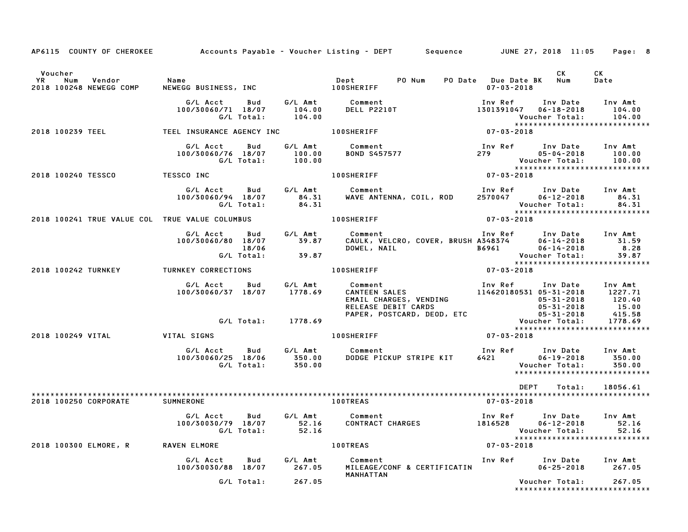|                                                                  |                                                                                                 |                    | AP6115 COUNTY OF CHEROKEE Accounts Payable - Voucher Listing - DEPT Sequence JUNE 27, 2018 11:05                                                                                                                                                                                                                      |                                                                                                                              |                         | Page: 8                                               |
|------------------------------------------------------------------|-------------------------------------------------------------------------------------------------|--------------------|-----------------------------------------------------------------------------------------------------------------------------------------------------------------------------------------------------------------------------------------------------------------------------------------------------------------------|------------------------------------------------------------------------------------------------------------------------------|-------------------------|-------------------------------------------------------|
| Voucher<br><b>YR</b><br>Num<br>Vendor<br>2018 100248 NEWEGG COMP | Name<br>NEWEGG BUSINESS, INC NEWERTER                                                           |                    |                                                                                                                                                                                                                                                                                                                       | $07 - 03 - 2018$                                                                                                             | <b>CK</b>               | CK<br>Date                                            |
|                                                                  |                                                                                                 |                    | G/L Acct     Bud     G/L Amt        Comment                           Inv Ref     Inv Date    Inv Amt<br>100/30060/71 18/07     104.00     DELL P2210T                       1301391047   06–18–2018     104.00<br>104.00<br>Vouc (G/L Total: 104.00<br>*****<br>TEEL INSURANCE AGENCY INC 100SHERIFF 1000 (7-03-2018 |                                                                                                                              |                         | *****************************                         |
| 2018 100239 TEEL                                                 |                                                                                                 |                    |                                                                                                                                                                                                                                                                                                                       |                                                                                                                              |                         |                                                       |
|                                                                  | G/L Acct Bud<br>100/30060/76 18/07 100.00<br>G/L Total: 100.00                                  |                    | G/L Amt Comment<br>Comment<br>BOND S457577                                                                                                                                                                                                                                                                            | Inv Ref Inv Date Inv Amt<br>279 05-04-2018 100.00<br>Voucher Total: 100.00<br>********************************<br>07-03-2018 |                         |                                                       |
| 2018 100240 TESSCO TESSCO INC                                    |                                                                                                 |                    | <b>100SHERIFF</b>                                                                                                                                                                                                                                                                                                     |                                                                                                                              |                         |                                                       |
|                                                                  |                                                                                                 |                    | G/L Acct     Bud     G/L Amt        Comment                      Inv Ref     Inv Date    Inv Amt<br>100/30060/94   18/07       84.31     WAVE ANTENNA, COIL, ROD     2570047      06–12–2018       84.31<br>G/L Total:       84.31                                                                                    |                                                                                                                              |                         |                                                       |
| 2018 100241 TRUE VALUE COL TRUE VALUE COLUMBUS                   |                                                                                                 |                    | <b>100SHERIFF</b>                                                                                                                                                                                                                                                                                                     |                                                                                                                              |                         |                                                       |
|                                                                  | G/L Acct Bud G/L Amt Comment<br>100/30060/80 18/07 39.87 CAULK, VE<br>18/06 18/06 DOWEL, NA     |                    |                                                                                                                                                                                                                                                                                                                       |                                                                                                                              |                         | Voucher Total: 39.87<br>***************************** |
| 2018 100242 TURNKEY TURNKEY CORRECTIONS                          |                                                                                                 |                    |                                                                                                                                                                                                                                                                                                                       |                                                                                                                              |                         |                                                       |
|                                                                  | G/L Acct Bud G/L Amt<br>100/30060/37 18/07 1778.69                                              |                    | 00SHERIFF<br>Comment<br>CANTEEN SALES<br>EMAIL CHARGES, VENDING<br>RELEASE DEBIT CARDS<br>PAPER, POSTCARD, DEOD, ETC<br>PAPER, POSTCARD, DEOD, ETC<br>PAPER, POSTCARD, DEOD, ETC<br>PAPER, POSTCARD, DEOD, ETC<br>PAPER, POSTCARD, DEOD, ETC<br>PA                                                                    |                                                                                                                              |                         |                                                       |
|                                                                  |                                                                                                 | G/L Total: 1778.69 |                                                                                                                                                                                                                                                                                                                       |                                                                                                                              |                         |                                                       |
|                                                                  |                                                                                                 |                    | <b>100SHERIFF</b>                                                                                                                                                                                                                                                                                                     | $07 - 03 - 2018$                                                                                                             |                         |                                                       |
|                                                                  | G/L Acct  Bud  G/L Amt  Comment<br>100/30060/25 18/06  350.00  DODGE  PIC<br>G/L Total:  350.00 |                    |                                                                                                                                                                                                                                                                                                                       | 111V Net<br>6421 06-19-2018<br>Voucher Total:                                                                                | $06 - 19 - 2018$ 350.00 | Inv Amt<br>350.00                                     |
|                                                                  |                                                                                                 |                    |                                                                                                                                                                                                                                                                                                                       | <b>DEPT</b>                                                                                                                  | Total:                  | 18056.61                                              |
| 2018 100250 CORPORATE SUMNERONE                                  |                                                                                                 |                    | <b>100TREAS</b>                                                                                                                                                                                                                                                                                                       | 07-03-2018                                                                                                                   |                         |                                                       |
|                                                                  |                                                                                                 |                    | G/L Acct Bud G/L Amt Comment 1nv Ref Inv Date Inv Amt<br>100/30030/79 18/07 52.16 CONTRACT CHARGES 1816528 06–12–2018 52.16<br>6/L Total: 52.16 S2.16 Voucher Total: 52.16                                                                                                                                            | Voucher Total: 52.16<br>****************************                                                                         |                         |                                                       |
| 2018 100300 ELMORE, R RAVEN ELMORE                               |                                                                                                 |                    | <b>100TREAS</b>                                                                                                                                                                                                                                                                                                       | $07 - 03 - 2018$                                                                                                             |                         |                                                       |
|                                                                  |                                                                                                 |                    | G/L Acct      Bud      G/L Amt        Comment                               Inv Ref      Inv Date     Inv Amt<br>100/30030/88  18/07        267.05     MILEAGE/CONF & CERTIFICATIN                 06–25–2018       267.05<br>MANHATTAN                                                                               |                                                                                                                              | $06 - 25 - 2018$ 267.05 |                                                       |
|                                                                  | G/L Total:                                                                                      | 267.05             |                                                                                                                                                                                                                                                                                                                       |                                                                                                                              | Voucher Total: 267.05   | *****************************                         |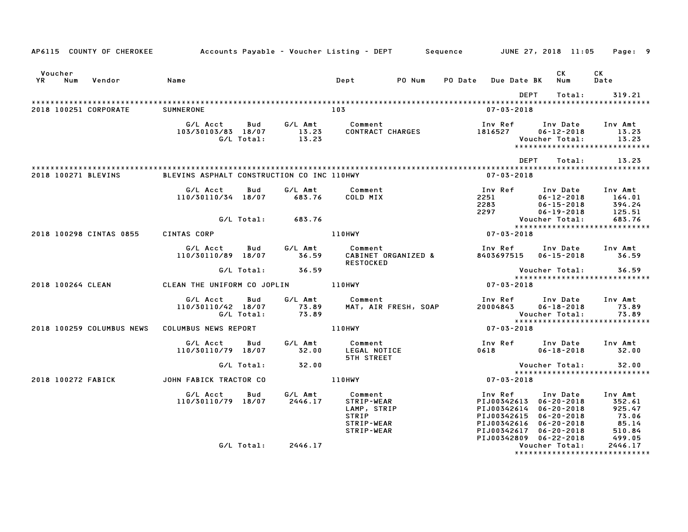|                    |     |                           | AP6115 COUNTY OF CHEROKEE Accounts Payable - Voucher Listing - DEPT Sequence JUNE 27, 2018 11:05 |                          |                    |                                                                           |                      |                |                                                                                                                                           |                                                                      |          | Page: 9                                                    |  |
|--------------------|-----|---------------------------|--------------------------------------------------------------------------------------------------|--------------------------|--------------------|---------------------------------------------------------------------------|----------------------|----------------|-------------------------------------------------------------------------------------------------------------------------------------------|----------------------------------------------------------------------|----------|------------------------------------------------------------|--|
| Voucher            |     |                           |                                                                                                  |                          |                    |                                                                           |                      |                |                                                                                                                                           | <b>CK</b>                                                            |          | CK                                                         |  |
| <b>YR</b>          | Num | Vendor                    | Name                                                                                             |                          |                    | Dept                                                                      | PO Num               | <b>PO Date</b> | <b>Due Date BK</b>                                                                                                                        | Num                                                                  |          | Date                                                       |  |
|                    |     |                           |                                                                                                  |                          |                    |                                                                           |                      |                |                                                                                                                                           | DEPT                                                                 | Total:   | 319.21                                                     |  |
|                    |     | 2018 100251 CORPORATE     | <b>SUMNERONE</b>                                                                                 |                          |                    | 103                                                                       |                      |                | $07 - 03 - 2018$                                                                                                                          |                                                                      |          |                                                            |  |
|                    |     |                           | G/L Acct<br>103/30103/83 18/07                                                                   | <b>Bud</b><br>G/L Total: | 13.23<br>13.23     | G/L Amt Comment                                                           | CONTRACT CHARGES     |                | Inv Ref<br>1816527                                                                                                                        | $06 - 12 - 2018$<br>Voucher Total:                                   | Inv Date | Inv Amt<br>13.23<br>13.23<br>***************************** |  |
|                    |     |                           |                                                                                                  |                          |                    |                                                                           |                      |                |                                                                                                                                           | DEPT                                                                 | Total:   | 13.23                                                      |  |
|                    |     | 2018 100271 BLEVINS       | BLEVINS ASPHALT CONSTRUCTION CO INC 110HWY                                                       |                          |                    |                                                                           |                      |                | $07 - 03 - 2018$                                                                                                                          |                                                                      |          |                                                            |  |
|                    |     |                           | G/L Acct<br>110/30110/34 18/07                                                                   | Bud                      | G/L Amt<br>683.76  | Comment<br>COLD MIX                                                       |                      |                | Inv Ref<br>2251<br>2283<br>2297                                                                                                           | Inv Date<br>$06 - 12 - 2018$<br>$06 - 15 - 2018$<br>$06 - 19 - 2018$ |          | Inv Amt<br>164.01<br>394.24<br>125.51                      |  |
|                    |     |                           |                                                                                                  | G/L Total:               | 683.76             |                                                                           |                      |                |                                                                                                                                           | Voucher Total:                                                       |          | 683.76<br>*****************************                    |  |
|                    |     | 2018 100298 CINTAS 0855   | CINTAS CORP                                                                                      |                          |                    | 110HWY                                                                    |                      |                | $07 - 03 - 2018$                                                                                                                          |                                                                      |          |                                                            |  |
|                    |     |                           | G/L Acct<br>110/30110/89 18/07                                                                   | Bud                      | G/L Amt<br>36.59   | Comment<br><b>RESTOCKED</b>                                               | CABINET ORGANIZED &  |                | Inv Ref<br>8403697515  06-15-2018                                                                                                         | Inv Date                                                             |          | Inv Amt<br>36.59                                           |  |
|                    |     |                           |                                                                                                  | G/L Total:               | 36.59              |                                                                           |                      |                |                                                                                                                                           | Voucher Total:                                                       |          | 36.59                                                      |  |
| 2018 100264 CLEAN  |     |                           | CLEAN THE UNIFORM CO JOPLIN 110HWY                                                               |                          |                    |                                                                           |                      |                | $07 - 03 - 2018$                                                                                                                          |                                                                      |          | *****************************                              |  |
|                    |     |                           | G/L Acct<br>110/30110/42 18/07                                                                   | Bud<br>G/L Total:        | 73.89              | G/L Amt Comment<br>73.89 MAT, AIR                                         | MAT, AIR FRESH, SOAP |                | Inv Ref<br>20004843                                                                                                                       | Inv Date<br>$06 - 18 - 2018$<br>Voucher Total:                       |          | Inv Amt<br>73.89<br>73.89<br>***************************** |  |
|                    |     | 2018 100259 COLUMBUS NEWS | COLUMBUS NEWS REPORT                                                                             |                          |                    | <b>110HWY</b>                                                             |                      |                | $07 - 03 - 2018$                                                                                                                          |                                                                      |          |                                                            |  |
|                    |     |                           | G/L Acct<br>110/30110/79 18/07                                                                   | Bud                      | G/L Amt<br>32.00   | Comment<br>LEGAL NOTICE<br><b>5TH STREET</b>                              |                      |                | Inv Ref Inv Date<br>0618                                                                                                                  | $06 - 18 - 2018$                                                     |          | Inv Amt<br>32.00                                           |  |
|                    |     |                           |                                                                                                  | G/L Total:               | 32.00              |                                                                           |                      |                |                                                                                                                                           | Voucher Total:                                                       |          | 32.00<br>*****************************                     |  |
| 2018 100272 FABICK |     |                           | JOHN FABICK TRACTOR CO                                                                           |                          |                    | 110HWY                                                                    |                      |                | $07 - 03 - 2018$                                                                                                                          |                                                                      |          |                                                            |  |
|                    |     |                           | G/L Acct<br>110/30110/79 18/07                                                                   | Bud                      | G/L Amt<br>2446.17 | Comment<br>STRIP-WEAR<br>LAMP, STRIP<br>STRIP<br>STRIP-WEAR<br>STRIP-WEAR |                      |                | Inv Ref<br>PIJ00342613 06-20-2018<br>PIJ00342614 06-20-2018<br>PIJ00342615 06-20-2018<br>PIJ00342616 06-20-2018<br>PIJ00342617 06-20-2018 | Inv Date                                                             |          | Inv Amt<br>352.61<br>925.47<br>73.06<br>85.14<br>510.84    |  |
|                    |     |                           |                                                                                                  | G/L Total:               | 2446.17            |                                                                           |                      |                | PIJ00342809 06-22-2018                                                                                                                    | Voucher Total:                                                       |          | 499.05<br>2446.17<br>*******************************       |  |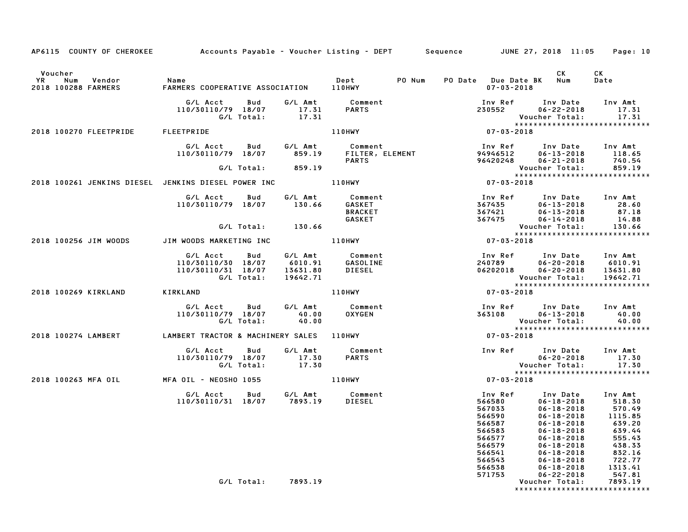| AP6115 COUNTY OF CHEROKEE Accounts Payable - Voucher Listing - DEPT Sequence JUNE 27, 2018 11:05 Page: 10 |                                                                        |                      |                                               |                                                                                                  |                                                                                                                                                                                                                                     |                                                                                                    |
|-----------------------------------------------------------------------------------------------------------|------------------------------------------------------------------------|----------------------|-----------------------------------------------|--------------------------------------------------------------------------------------------------|-------------------------------------------------------------------------------------------------------------------------------------------------------------------------------------------------------------------------------------|----------------------------------------------------------------------------------------------------|
| Voucher<br>YR Num Vendor<br>2018 100288 FARMERS                                                           | Name                                                                   |                      |                                               | PO Date Due Date BK Num<br>$07 - 03 - 2018$                                                      | CK                                                                                                                                                                                                                                  | CK<br>Date                                                                                         |
|                                                                                                           | G/L Acct   Bud<br>110/30110/79 18/07<br>G/L Total:                     | 17.31<br>17.31       | G/L Amt Comment<br><b>PARTS</b>               |                                                                                                  | Inv Ref Inv Date Inv Amt<br>$230552$ $06-22-2018$<br>Voucher Total:                                                                                                                                                                 | 17.31<br>17.31                                                                                     |
| 2018 100270 FLEETPRIDE                                                                                    | FLEETPRIDE                                                             |                      | <b>110HWY</b>                                 | $07 - 03 - 2018$                                                                                 |                                                                                                                                                                                                                                     |                                                                                                    |
|                                                                                                           | G/L Acct Bud<br>110/30110/79 18/07 859.19 FILTER, ELEMENT              |                      | G/L Amt Comment<br><b>PARTS</b>               | 94946512                                                                                         | Inv Ref Inv Date Inv Amt<br>$06 - 13 - 2018$ 118.65<br>96420248 06-21-2018                                                                                                                                                          | 740.54                                                                                             |
|                                                                                                           | G/L Total: 859.19                                                      |                      |                                               |                                                                                                  | Voucher Total:                                                                                                                                                                                                                      | 859.19                                                                                             |
| 2018 100261 JENKINS DIESEL JENKINS DIESEL POWER INC ____________________________                          |                                                                        |                      |                                               | $07 - 03 - 2018$                                                                                 |                                                                                                                                                                                                                                     |                                                                                                    |
|                                                                                                           | G/L Acct  Bud  G/L Amt  Comment<br>110/30110/79  18/07  130.66  GASKET |                      | <b>BRACKET</b><br>GASKET                      | 367421<br>367475                                                                                 | Inv Ref       Inv Date      Inv Amt<br>367435          06-13-2018          28.60<br>$06 - 13 - 2018$ 28.60<br>06-13-2018 87.18<br>06-14-2018 14.88                                                                                  |                                                                                                    |
|                                                                                                           | G/L Total: 130.66                                                      |                      |                                               |                                                                                                  | Voucher Total:<br>*****************************                                                                                                                                                                                     | 130.66                                                                                             |
| 2018 100256 JIM WOODS                                                                                     |                                                                        |                      |                                               | $07 - 03 - 2018$                                                                                 |                                                                                                                                                                                                                                     |                                                                                                    |
|                                                                                                           | G/L Acct Bud<br>110/30110/30 18/07<br>110/30110/31 18/07<br>G/L Total: | 13631.80<br>19642.71 | G/L Amt Comment<br>6010.91 GASOLINE<br>DIESEL |                                                                                                  | 1nv Ref 1nv Date 1nv Amt<br>240789 06–20–2018 6010.91<br>06202018  06-20-2018  13631.80                                                                                                                                             |                                                                                                    |
| 2018 100269 KIRKLAND                                                                                      | KIRKLAND                                                               |                      | <b>110HWY</b>                                 | $07 - 03 - 2018$                                                                                 |                                                                                                                                                                                                                                     |                                                                                                    |
|                                                                                                           | G/L Acct   Bud<br>110/30110/79 18/07<br>G/L Total:                     | 40.00<br>40.00       | G/L Amt Comment<br><b>OXYGEN</b>              |                                                                                                  | Inv Ref Inv Date Inv Amt<br>363108 06-13-2018 40.00<br>Voucher Total:                                                                                                                                                               | 40.00                                                                                              |
| 2018 100274 LAMBERT         LAMBERT TRACTOR & MACHINERY SALES   110HWY                                    |                                                                        |                      |                                               | 07-03-2018                                                                                       |                                                                                                                                                                                                                                     |                                                                                                    |
|                                                                                                           | G/L Acct   Bud<br>110/30110/79 18/07<br>G/L Total:                     | 17.30<br>17.30       | G/L Amt Comment<br><b>PARTS</b>               |                                                                                                  | Inv Ref Inv Date Inv Amt<br>06-20-2018<br><b>Voucher Total:</b>                                                                                                                                                                     | 17.30<br>17.30                                                                                     |
| 2018 100263 MFA OIL                                                                                       | MFA OIL - NEOSHO 1055 110HWY                                           |                      |                                               | $07 - 03 - 2018$                                                                                 |                                                                                                                                                                                                                                     |                                                                                                    |
|                                                                                                           | G/L Acct<br>Bud<br>110/30110/31 18/07 7893.19                          |                      | G/L Amt Comment<br>DIESEL                     | 566580<br>567033<br>566590<br>566587<br>566583<br>566577<br>566579<br>566541<br>566543<br>566538 | Inv Ref      Inv Date     Inv Amt<br>$06 - 18 - 2018$<br>$06 - 18 - 2018$<br>$06 - 18 - 2018$<br>$06 - 18 - 2018$<br>$06 - 18 - 2018$<br>$06 - 18 - 2018$<br>$06 - 18 - 2018$<br>06-18-2018<br>$06 - 18 - 2018$<br>$06 - 18 - 2018$ | 518.30<br>570.49<br>1115.85<br>639.20<br>639.44<br>555.43<br>438.33<br>832.16<br>722.77<br>1313.41 |
|                                                                                                           | G/L Total:                                                             | 7893.19              |                                               | 571753                                                                                           | $06 - 22 - 2018$<br>Voucher Total:<br>*****************************                                                                                                                                                                 | 547.81<br>7893.19                                                                                  |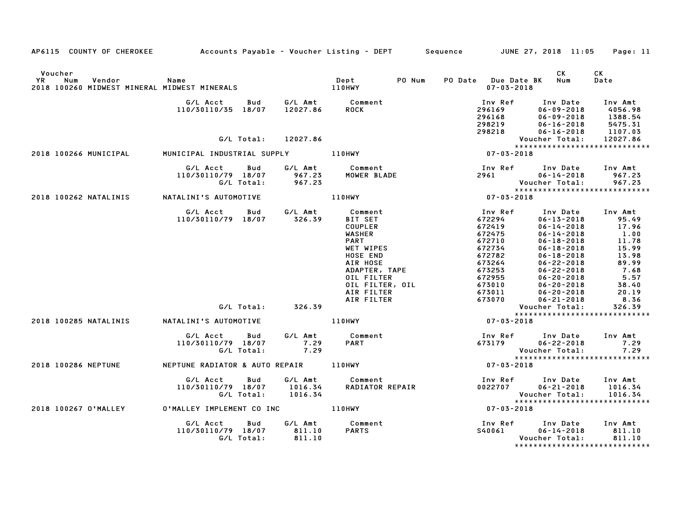| AP6115 COUNTY OF CHEROKEE         Accounts Payable – Voucher Listing – DEPT      Sequence        JUNE 27, 2018 11:05 |                                                     |                               |                                                            |                                                 |                                                                                          | Page: 11                                            |
|----------------------------------------------------------------------------------------------------------------------|-----------------------------------------------------|-------------------------------|------------------------------------------------------------|-------------------------------------------------|------------------------------------------------------------------------------------------|-----------------------------------------------------|
| Voucher<br>YR<br>Num<br>Vendor<br>2018 100260 MIDWEST MINERAL MIDWEST MINERALS                                       | Name                                                |                               | PO Num<br>Dept<br><b>DULE</b><br>110HWY                    | PO Date Due Date BK<br>$07 - 03 - 2018$         | CK<br>Num                                                                                | CK<br>Date                                          |
|                                                                                                                      | G/L Acct<br><b>Bud</b><br>110/30110/35 18/07        |                               | G/L Amt          Comment<br>12027.86        ROCK           | Inv Ref<br>296169<br>296168<br>298219<br>298218 | Inv Date<br>$06 - 09 - 2018$<br>$06 - 09 - 2018$<br>$06 - 16 - 2018$<br>$06 - 16 - 2018$ | Inv Amt<br>4056.98<br>1388.54<br>5475.31<br>1107.03 |
|                                                                                                                      | G/L Total:                                          | 12027.86                      |                                                            |                                                 | Voucher Total:                                                                           | 12027.86                                            |
|                                                                                                                      |                                                     |                               |                                                            |                                                 | *****************************                                                            |                                                     |
| 2018 100266 MUNICIPAL                                                                                                | MUNICIPAL INDUSTRIAL SUPPLY                         |                               | 110HWY                                                     | $07 - 03 - 2018$                                |                                                                                          |                                                     |
|                                                                                                                      | G/L Acct<br>Bud<br>110/30110/79 18/07<br>G/L Total: | G/L Amt<br>967.23<br>967.23   | Comment<br>"OWED RIADE                                     | Inv Ref<br>2961 7                               | Inv Date<br>$06 - 14 - 2018$<br>Voucher Total:                                           | Inv Amt<br>967.23<br>967.23                         |
| 2018 100262 NATALINIS                                                                                                | NATALINI'S AUTOMOTIVE                               |                               | 110HWY                                                     | $07 - 03 - 2018$                                | *****************************                                                            |                                                     |
|                                                                                                                      | G/L Acct<br><b>Bud</b><br>110/30110/79 18/07        | G/L Amt<br>326.39             | Comment<br><b>BIT SET</b><br><b>COUPLER</b>                | Inv Ref<br>672294<br>672419                     | Inv Date<br>$06 - 13 - 2018$<br>$06 - 14 - 2018$                                         | Inv Amt<br>95.49<br>17.96                           |
|                                                                                                                      |                                                     |                               | <b>WASHER</b><br><b>PART</b><br>WET WIPES<br>HOSE END      | 672475<br>672710<br>672734<br>672782            | $06 - 14 - 2018$<br>$06 - 18 - 2018$<br>$06 - 18 - 2018$<br>$06 - 18 - 2018$             | 1.00<br>11.78<br>15.99<br>13.98                     |
|                                                                                                                      |                                                     |                               | AIR HOSE<br>ADAPTER, TAPE<br>OIL FILTER<br>OIL FILTER, OIL | 673264<br>673253<br>672955<br>673010            | $06 - 22 - 2018$<br>$06 - 22 - 2018$<br>$06 - 20 - 2018$<br>$06 - 20 - 2018$             | 89.99<br>7.68<br>5.57<br>38.40                      |
|                                                                                                                      |                                                     |                               | AIR FILTER                                                 | 673011                                          | $06 - 20 - 2018$                                                                         | 20.19                                               |
|                                                                                                                      |                                                     |                               | AIR FILTER                                                 | 673070                                          | $06 - 21 - 2018$                                                                         | 8.36                                                |
|                                                                                                                      | G/L Total: 326.39                                   |                               |                                                            |                                                 | Voucher Total:                                                                           | 326.39                                              |
| 2018 100285 NATALINIS                                                                                                | NATALINI'S AUTOMOTIVE                               |                               | 110HWY                                                     | $07 - 03 - 2018$                                | *****************************                                                            |                                                     |
|                                                                                                                      | G/L Acct<br>Bud<br>110/30110/79 18/07<br>G/L Total: | G/L Amt<br>7.29<br>7.29       | Comment<br><b>PART</b>                                     | 673179                                          | Inv Ref Inv Date<br>$06 - 22 - 2018$<br>Voucher Total:                                   | Inv Amt<br>7.29<br>7.29                             |
| 2018 100286 NEPTUNE                                                                                                  | NEPTUNE RADIATOR & AUTO REPAIR 110HWY               |                               |                                                            | $07 - 03 - 2018$                                | *****************************                                                            |                                                     |
|                                                                                                                      | G/L Acct<br>Bud<br>110/30110/79 18/07<br>G/L Total: | G/L Amt<br>1016.34<br>1016.34 | Comment<br>RADIATOR REPAIR                                 | 0022707                                         | Inv Ref Inv Date<br>$06 - 21 - 2018$<br>Voucher Total:<br>*****************************  | Inv Amt<br>1016.34<br>1016.34                       |
| 2018 100267 O'MALLEY                                                                                                 | 0'MALLEY IMPLEMENT CO INC 110HWY                    |                               |                                                            | $07 - 03 - 2018$                                |                                                                                          |                                                     |
|                                                                                                                      | G/L Acct<br>Bud<br>110/30110/79 18/07<br>G/L Total: | G/L Amt<br>811.10<br>811.10   | Comment<br><b>PARTS</b>                                    | Inv Ref<br>S40061                               | Inv Date<br>$06 - 14 - 2018$<br>Voucher Total:<br>*****************************          | Inv Amt<br>811.10<br>811.10                         |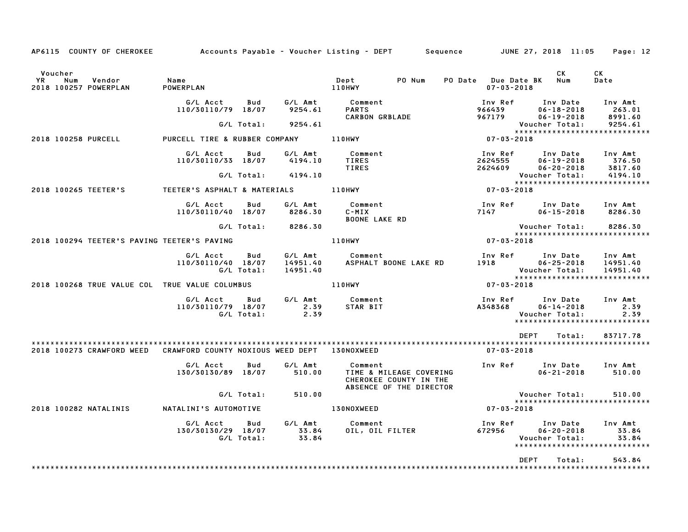| AP6115 COUNTY OF CHEROKEE                               |                                   |                   |                                 | Accounts Payable – Voucher Listing – DEPT         Sequence                              |                                         | JUNE 27, 2018 11:05                              | Page: 12                                                         |
|---------------------------------------------------------|-----------------------------------|-------------------|---------------------------------|-----------------------------------------------------------------------------------------|-----------------------------------------|--------------------------------------------------|------------------------------------------------------------------|
| Voucher<br>YR<br>Num<br>Vendor<br>2018 100257 POWERPLAN | Name<br>POWERPLAN                 |                   |                                 | PO Num<br>Dept<br>110HWY                                                                | PO Date Due Date BK<br>$07 - 03 - 2018$ | CK<br>Num                                        | CK<br>Date                                                       |
|                                                         | G/L Acct<br>110/30110/79 18/07    | Bud               | G/L Amt<br>9254.61              | Comment<br><b>PARTS</b><br><b>CARBON GRBLADE</b>                                        | Inv Ref<br>966439<br>967179             | Inv Date<br>$06 - 18 - 2018$<br>$06 - 19 - 2018$ | Inv Amt<br>263.01<br>8991.60                                     |
|                                                         |                                   | G/L Total:        | 9254.61                         |                                                                                         |                                         | Voucher Total:                                   | 9254.61<br>******************************                        |
| 2018 100258 PURCELL                                     | PURCELL TIRE & RUBBER COMPANY     |                   |                                 | 110HWY                                                                                  | $07 - 03 - 2018$                        |                                                  |                                                                  |
|                                                         | G/L Acct<br>110/30110/33 18/07    | Bud               | G/L Amt<br>4194.10              | Comment<br><b>TIRES</b><br><b>TIRES</b>                                                 | Inv Ref<br>2624555<br>2624609           | Inv Date<br>$06 - 19 - 2018$<br>$06 - 20 - 2018$ | Inv Amt<br>376.50<br>3817.60                                     |
|                                                         |                                   | G/L Total:        | 4194.10                         |                                                                                         |                                         | Voucher Total:                                   | 4194.10                                                          |
| 2018 100265 TEETER'S                                    | TEETER'S ASPHALT & MATERIALS      |                   |                                 | <b>110HWY</b>                                                                           | $07 - 03 - 2018$                        |                                                  | *****************************                                    |
|                                                         | G/L Acct<br>110/30110/40 18/07    | Bud               | G/L Amt<br>8286.30              | Comment<br>C-MIX<br><b>BOONE LAKE RD</b>                                                | Inv Ref<br>7147                         | Inv Date<br>$06 - 15 - 2018$                     | Inv Amt<br>8286.30                                               |
|                                                         |                                   | G/L Total:        | 8286.30                         |                                                                                         |                                         | Voucher Total:                                   | 8286.30<br>*****************************                         |
| 2018 100294 TEETER'S PAVING TEETER'S PAVING             |                                   |                   |                                 | 110HWY                                                                                  | $07 - 03 - 2018$                        |                                                  |                                                                  |
|                                                         | G/L Acct<br>110/30110/40 18/07    | Bud<br>G/L Total: | G/L Amt<br>14951.40<br>14951.40 | Comment<br>ASPHALT BOONE LAKE RD                                                        | Inv Ref<br>1918                         | Inv Date<br>$06 - 25 - 2018$<br>Voucher Total:   | Inv Amt<br>14951.40<br>14951.40<br>***************************** |
| 2018 100268 TRUE VALUE COL TRUE VALUE COLUMBUS          |                                   |                   |                                 | 110HWY                                                                                  | $07 - 03 - 2018$                        |                                                  |                                                                  |
|                                                         | G/L Acct<br>110/30110/79 18/07    | Bud<br>G/L Total: | G/L Amt<br>2.39<br>2.39         | Comment<br>STAR BIT                                                                     | Inv Ref<br>A348368                      | Inv Date<br>$06 - 14 - 2018$<br>Voucher Total:   | Inv Amt<br>2.39<br>2.39<br>*****************************         |
|                                                         |                                   |                   |                                 |                                                                                         | <b>DEPT</b>                             | Total:                                           | 83717.78                                                         |
| 2018 100273 CRAWFORD WEED                               | CRAWFORD COUNTY NOXIOUS WEED DEPT |                   |                                 | 130NOXWEED                                                                              | $07 - 03 - 2018$                        |                                                  |                                                                  |
|                                                         | G/L Acct<br>130/30130/89 18/07    | Bud               | G/L Amt<br>510.00               | Comment<br>TIME & MILEAGE COVERING<br>CHEROKEE COUNTY IN THE<br>ABSENCE OF THE DIRECTOR | Inv Ref                                 | Inv Date<br>$06 - 21 - 2018$                     | Inv Amt<br>510.00                                                |
|                                                         |                                   | G/L Total:        | 510.00                          |                                                                                         |                                         | Voucher Total:                                   | 510.00                                                           |
| 2018 100282 NATALINIS                                   | NATALINI'S AUTOMOTIVE             |                   |                                 | 130NOXWEED                                                                              | $07 - 03 - 2018$                        |                                                  | *****************************                                    |
|                                                         | G/L Acct<br>130/30130/29 18/07    | Bud<br>G/L Total: | G/L Amt<br>33.84<br>33.84       | Comment<br>OIL, OIL FILTER                                                              | Inv Ref<br>672956                       | Inv Date<br>$06 - 20 - 2018$<br>Voucher Total:   | Inv Amt<br>33.84<br>33.84<br>*****************************       |
|                                                         |                                   |                   |                                 |                                                                                         | <b>DEPT</b>                             | Total:                                           | 543.84<br>*********************                                  |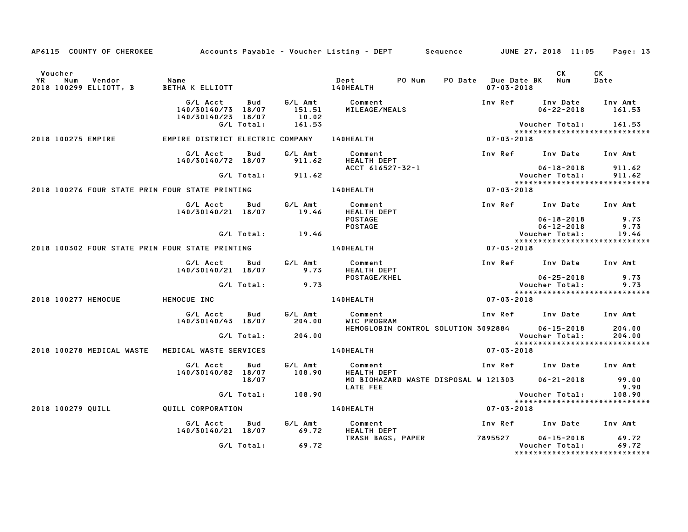| AP6115 COUNTY OF CHEROKEE                                                |                                                      |                   |                                      | Accounts Payable – Voucher Listing – DEPT         Sequence         JUNE 27, 2018  11:05 |                                         |                                                        | Page: 13                                          |  |
|--------------------------------------------------------------------------|------------------------------------------------------|-------------------|--------------------------------------|-----------------------------------------------------------------------------------------|-----------------------------------------|--------------------------------------------------------|---------------------------------------------------|--|
|                                                                          |                                                      |                   |                                      |                                                                                         |                                         |                                                        |                                                   |  |
| Voucher<br>Vendor<br>YR<br>Num<br>2018 100299 ELLIOTT, B                 | Name<br>BETHA K ELLIOTT                              |                   |                                      | PO Num<br>Dept<br>140HEALTH                                                             | PO Date Due Date BK<br>$07 - 03 - 2018$ | CK<br>Num                                              | CK<br>Date                                        |  |
|                                                                          | G/L Acct<br>140/30140/73 18/07<br>140/30140/23 18/07 | Bud<br>G/L Total: | G/L Amt<br>151.51<br>10.02<br>161.53 | Comment<br>MILEAGE/MEALS                                                                | Inv Ref                                 | Inv Date<br>$06 - 22 - 2018$<br>Voucher Total:         | Inv Amt<br>161.53<br>161.53                       |  |
| 2018 100275 EMPIRE                                                       | EMPIRE DISTRICT ELECTRIC COMPANY 140HEALTH           |                   |                                      |                                                                                         | 07-03-2018                              |                                                        | *****************************                     |  |
|                                                                          | G/L Acct<br>140/30140/72 18/07                       | Bud               | G/L Amt<br>911.62                    | Comment<br><b>HEALTH DEPT</b>                                                           | Inv Ref Inv Date Inv Amt                |                                                        |                                                   |  |
|                                                                          |                                                      | G/L Total:        | 911.62                               | ACCT 616527-32-1                                                                        |                                         | $06 - 18 - 2018$<br>Voucher Total:                     | 911.62<br>911.62<br>***************************** |  |
| 2018 100276 FOUR STATE PRIN FOUR STATE PRINTING                          |                                                      |                   |                                      | <b>140HEALTH</b>                                                                        | $07 - 03 - 2018$                        |                                                        |                                                   |  |
|                                                                          | G/L Acct<br>140/30140/21 18/07                       | Bud               | G/L Amt<br>19.46                     | Comment<br><b>HEALTH DEPT</b>                                                           | Inv Ref Inv Date                        |                                                        | Inv Amt                                           |  |
|                                                                          |                                                      | G/L Total:        | 19.46                                | <b>POSTAGE</b><br><b>POSTAGE</b>                                                        |                                         | $06 - 18 - 2018$<br>$06 - 12 - 2018$<br>Voucher Total: | 9.73<br>9.73<br>19.46                             |  |
|                                                                          |                                                      |                   |                                      |                                                                                         |                                         |                                                        | *****************************                     |  |
| 2018 100302 FOUR STATE PRIN FOUR STATE PRINTING THE RESIDENCE RESIDENCE. |                                                      |                   |                                      | $07 - 03 - 2018$                                                                        |                                         |                                                        |                                                   |  |
|                                                                          | G/L Acct Bud<br>140/30140/21 18/07                   |                   | G/L Amt<br>9.73                      | Comment<br>HEALTH DEPT                                                                  | Inv Ref Inv Date Inv Amt                |                                                        |                                                   |  |
|                                                                          |                                                      | G/L Total:        | 9.73                                 | POSTAGE/KHEL                                                                            |                                         | $06 - 25 - 2018$<br>Voucher Total:                     | 9.73<br>9.73<br>*****************************     |  |
| 2018 100277 HEMOCUE                                                      | HEMOCUE INC                                          |                   |                                      | 140HEALTH                                                                               | $07 - 03 - 2018$                        |                                                        |                                                   |  |
|                                                                          | G/L Acct<br>140/30140/43 18/07                       | Bud               | G/L Amt<br>204.00                    | Comment<br>WIC PROGRAM                                                                  | Inv Ref Inv Date Inv Amt                |                                                        |                                                   |  |
|                                                                          |                                                      | G/L Total:        | 204.00                               | HEMOGLOBIN CONTROL SOLUTION 3092884                                                     |                                         | $06 - 15 - 2018$<br>Voucher Total:                     | 204.00<br>204.00<br>***************************** |  |
| 2018 100278 MEDICAL WASTE                                                | MEDICAL WASTE SERVICES                               |                   |                                      | 140HEALTH                                                                               | 07-03-2018                              |                                                        |                                                   |  |
|                                                                          | G/L Acct<br>140/30140/82 18/07                       | Bud               | G/L Amt<br>108.90                    | Comment<br><b>HEALTH DEPT</b>                                                           | Inv Ref Inv Date Inv Amt                |                                                        |                                                   |  |
|                                                                          |                                                      | 18/07             |                                      | MO BIOHAZARD WASTE DISPOSAL W 121303<br>LATE FEE                                        |                                         | $06 - 21 - 2018$                                       | 99.00<br>9.90                                     |  |
|                                                                          | 108.90<br>G/L Total:                                 |                   |                                      |                                                                                         | Voucher Total:                          | 108.90<br>******************************               |                                                   |  |
| 2018 100279 QUILL                                                        | QUILL CORPORATION                                    |                   | <b>140HEALTH</b>                     | 07-03-2018                                                                              |                                         |                                                        |                                                   |  |
|                                                                          | G/L Acct<br>140/30140/21 18/07                       | Bud               | G/L Amt<br>69.72                     | Comment<br><b>HEALTH DEPT</b>                                                           | Inv Ref Inv Date                        |                                                        | Inv Amt                                           |  |
|                                                                          |                                                      | G/L Total:        | 69.72                                | TRASH BAGS, PAPER                                                                       | 7895527                                 | $06 - 15 - 2018$<br>Voucher Total:                     | 69.72<br>69.72                                    |  |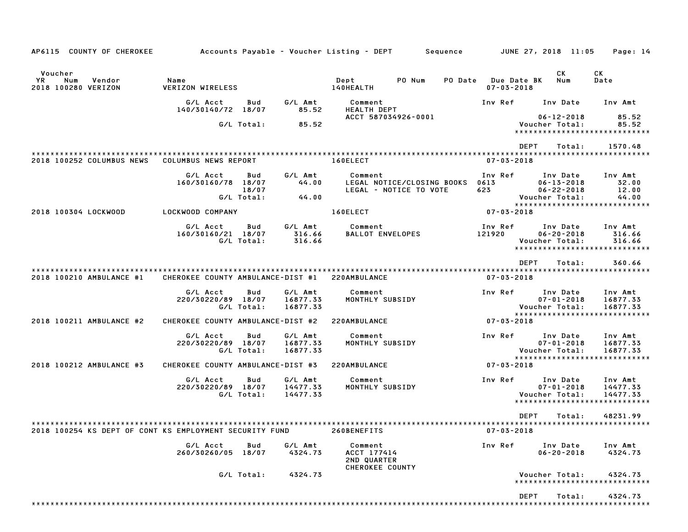| AP6115 COUNTY OF CHEROKEE                               | Accounts Payable – Voucher Listing – DEPT         Sequence |                            |                                 |                                                          |                                                      |                                                                                        |                                         | JUNE 27, 2018 11:05                                                | Page: 14                                                         |
|---------------------------------------------------------|------------------------------------------------------------|----------------------------|---------------------------------|----------------------------------------------------------|------------------------------------------------------|----------------------------------------------------------------------------------------|-----------------------------------------|--------------------------------------------------------------------|------------------------------------------------------------------|
| Voucher<br>YR.<br>Num<br>Vendor<br>2018 100280 VERIZON  | Name<br><b>VERIZON WIRELESS</b>                            |                            |                                 | Dept<br>140HEALTH                                        | PO Num                                               |                                                                                        | PO Date Due Date BK<br>$07 - 03 - 2018$ | CK<br>Num                                                          | СK<br>Date                                                       |
|                                                         | G/L Acct<br>140/30140/72 18/07                             | Bud                        | G/L Amt<br>85.52                | Comment<br><b>HEALTH DEPT</b>                            |                                                      |                                                                                        | Inv Ref                                 | Inv Date                                                           | Inv Amt                                                          |
|                                                         |                                                            | G/L Total:                 | 85.52                           | ACCT 587034926-0001                                      |                                                      | $06 - 12 - 2018$<br>85.52<br>Voucher Total:<br>85.52<br>****************************** |                                         |                                                                    |                                                                  |
| 2018 100252 COLUMBUS NEWS                               | COLUMBUS NEWS REPORT                                       |                            |                                 | *************************************<br>160ELECT        |                                                      |                                                                                        | $07 - 03 - 2018$                        | <b>DEPT</b><br>Total:                                              | 1570.48                                                          |
|                                                         | G/L Acct<br>160/30160/78 18/07                             | Bud<br>18/07<br>G/L Total: | G/L Amt<br>44.00<br>44.00       | Comment                                                  | LEGAL NOTICE/CLOSING BOOKS<br>LEGAL - NOTICE TO VOTE |                                                                                        | Inv Ref<br>0613<br>623                  | Inv Date<br>$06 - 13 - 2018$<br>$06 - 22 - 2018$<br>Voucher Total: | Inv Amt<br>32.00<br>12.00<br>44.00                               |
| 2018 100304 LOCKWOOD                                    | LOCKWOOD COMPANY                                           |                            |                                 | 160ELECT                                                 |                                                      |                                                                                        | $07 - 03 - 2018$                        |                                                                    | *****************************                                    |
|                                                         | G/L Acct<br>160/30160/21 18/07                             | Bud<br>G/L Total:          | G/L Amt<br>316.66<br>316.66     | Comment<br><b>BALLOT ENVELOPES</b>                       |                                                      |                                                                                        | Inv Ref<br>121920                       | Inv Date<br>$06 - 20 - 2018$<br>Voucher Total:                     | Inv Amt<br>316.66<br>316.66<br>*****************************     |
|                                                         |                                                            |                            |                                 |                                                          |                                                      |                                                                                        |                                         | <b>DEPT</b><br>Total:                                              | 360.66                                                           |
| 2018 100210 AMBULANCE #1                                | CHEROKEE COUNTY AMBULANCE-DIST #1                          |                            |                                 | 220AMBULANCE                                             |                                                      |                                                                                        | $07 - 03 - 2018$                        |                                                                    |                                                                  |
|                                                         | G/L Acct<br>220/30220/89 18/07                             | Bud<br>G/L Total:          | G/L Amt<br>16877.33<br>16877.33 | Comment<br>MONTHLY SUBSIDY                               |                                                      |                                                                                        | Inv Ref                                 | Inv Date<br>$07 - 01 - 2018$<br>Voucher Total:                     | Inv Amt<br>16877.33<br>16877.33<br>***************************** |
| 2018 100211 AMBULANCE #2                                | CHEROKEE COUNTY AMBULANCE-DIST #2                          |                            |                                 | 220AMBULANCE                                             |                                                      |                                                                                        | $07 - 03 - 2018$                        |                                                                    |                                                                  |
|                                                         | G/L Acct<br>220/30220/89 18/07                             | Bud<br>G/L Total:          | G/L Amt<br>16877.33<br>16877.33 | Comment<br>MONTHLY SUBSIDY                               |                                                      |                                                                                        | Inv Ref                                 | Inv Date<br>$07 - 01 - 2018$<br>Voucher Total:                     | Inv Amt<br>16877.33<br>16877.33<br>***************************** |
| 2018 100212 AMBULANCE #3                                | CHEROKEE COUNTY AMBULANCE-DIST #3                          |                            |                                 | 220AMBULANCE                                             |                                                      |                                                                                        | $07 - 03 - 2018$                        |                                                                    |                                                                  |
|                                                         | G/L Acct<br>220/30220/89 18/07                             | Bud<br>G/L Total:          | G/L Amt<br>14477.33<br>14477.33 | Comment<br>MONTHLY SUBSIDY                               |                                                      |                                                                                        | Inv Ref                                 | Inv Date<br>$07 - 01 - 2018$<br>Voucher Total:                     | Inv Amt<br>14477.33<br>14477.33<br>***************************** |
| 2018 100254 KS DEPT OF CONT KS EMPLOYMENT SECURITY FUND |                                                            |                            |                                 | 260BENEFITS                                              |                                                      |                                                                                        | $07 - 03 - 2018$                        | <b>DEPT</b><br>Total:                                              | 48231.99                                                         |
|                                                         | G/L Acct<br>260/30260/05 18/07                             | Bud                        | G/L Amt<br>4324.73              | Comment<br>ACCT 177414<br>2ND QUARTER<br>CHEROKEE COUNTY |                                                      |                                                                                        | Inv Ref                                 | Inv Date<br>$06 - 20 - 2018$                                       | Inv Amt<br>4324.73                                               |
|                                                         |                                                            | G/L Total:                 | 4324.73                         |                                                          |                                                      |                                                                                        |                                         | Voucher Total:                                                     | 4324.73<br>*****************************                         |
|                                                         |                                                            |                            |                                 |                                                          |                                                      |                                                                                        |                                         | <b>DEPT</b><br>Total:                                              | 4324.73                                                          |